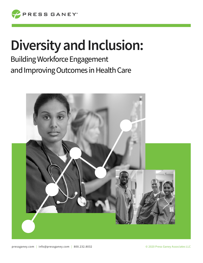

# **Diversity and Inclusion:**

Building Workforce Engagement and Improving Outcomes in Health Care

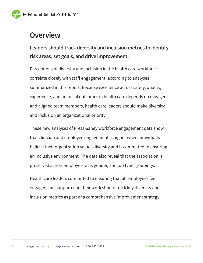

### **Overview**

**Leaders should track diversity and inclusion metrics to identify risk areas, set goals, and drive improvement.**

Perceptions of diversity and inclusion in the health care workforce correlate closely with staff engagement, according to analyses summarized in this report. Because excellence across safety, quality, experience, and financial outcomes in health care depends on engaged and aligned team members, health care leaders should make diversity and inclusion an organizational priority.

These new analyses of Press Ganey workforce engagement data show that clinician and employee engagement is higher when individuals believe their organization values diversity and is committed to ensuring an inclusive environment. The data also reveal that the association is preserved across employee race, gender, and job type groupings.

Health care leaders committed to ensuring that all employees feel engaged and supported in their work should track key diversity and inclusion metrics as part of a comprehensive improvement strategy.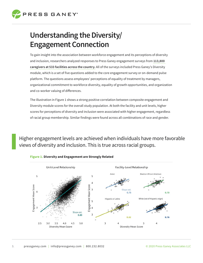

# **Understanding the Diversity/ Engagement Connection**

To gain insight into the association between workforce engagement and its perceptions of diversity and inclusion, researchers analyzed responses to Press Ganey engagement surveys from **113,800 caregivers at 533 facilities across the country.** All of the surveys included Press Ganey's Diversity module, which is a set of five questions added to the core engagement survey or on-demand pulse platform. The questions assess employees' perceptions of equality of treatment by managers, organizational commitment to workforce diversity, equality of growth opportunities, and organization and co-worker valuing of differences.

The illustration in Figure 1 shows a strong positive correlation between composite engagement and Diversity module scores for the overall study population. At both the facility and unit levels, higher scores for perceptions of diversity and inclusion were associated with higher engagement, regardless of racial group membership. Similar findings were found across all combinations of race and gender.

Higher engagement levels are achieved when individuals have more favorable views of diversity and inclusion. This is true across racial groups.



#### **Figure 1. Diversity and Engagement are Strongly Related**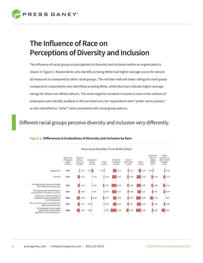

# **The Influence of Race on Perceptions of Diversity and Inclusion**

The influence of racial group on perceptions of diversity and inclusion within an organization is shown in Figure 2. Respondents who identify as being White had higher average scores for almost all measures as compared to other racial groups. The red bars indicate lower ratings for each group compared to respondents who identified as being White, while blue bars indicate higher average ratings for these non-White cohorts. The most negative variation in scores is seen in the cohorts of employees who identify as Black or African American, for respondents who "prefer not to answer," or who identified as "other" when presented with racial group options.

### Different racial groups perceive diversity and inclusion very differently.



#### **Figure 2. Differences in Evaluations of Diversity and Inclusion by Race**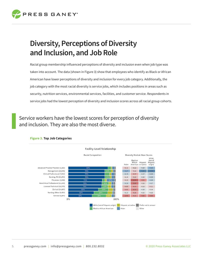

# **Diversity, Perceptions of Diversity and Inclusion, and Job Role**

Racial group membership influenced perceptions of diversity and inclusion even when job type was taken into account. The data (shown in Figure 3) show that employees who identify as Black or African American have lower perceptions of diversity and inclusion for every job category. Additionally, the job category with the most racial diversity is service jobs, which includes positions in areas such as security, nutrition services, environmental services, facilities, and customer service. Respondents in service jobs had the lowest perception of diversity and inclusion scores across all racial group cohorts.

Service workers have the lowest scores for perception of diversity and inclusion. They are also the most diverse.



#### **Figure 3. Top Job Categories**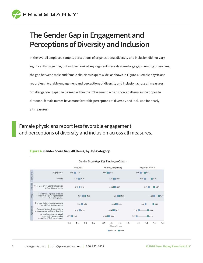

# **The Gender Gap in Engagement and Perceptions of Diversity and Inclusion**

In the overall employee sample, perceptions of organizational diversity and inclusion did not vary significantly by gender, but a closer look at key segments reveals some large gaps. Among physicians, the gap between male and female clinicians is quite wide, as shown in Figure 4. Female physicians report less favorable engagement and perceptions of diversity and inclusion across all measures. Smaller gender gaps can be seen within the RN segment, which shows patterns in the opposite direction: female nurses have more favorable perceptions of diversity and inclusion for nearly all measures.

Female physicians report less favorable engagement and perceptions of diversity and inclusion across all measures.

#### **Figure 4. Gender Score Gap: All Items, by Job Category**

|              |                                                                                             |               |               |     |     | Gender Score Gap: Key Employee Cohorts |               |                           |     |                   |     |     |     |
|--------------|---------------------------------------------------------------------------------------------|---------------|---------------|-----|-----|----------------------------------------|---------------|---------------------------|-----|-------------------|-----|-----|-----|
|              |                                                                                             | All (80% F)   |               |     |     | Nursing, RN (91% F)                    |               |                           |     | Physician (44% F) |     |     |     |
| Composite    | Engagement                                                                                  | $4.05$ 4.05   |               |     |     | 3.99 4.02                              |               |                           |     | $3.95$ 4.05       |     |     |     |
|              | Diversity                                                                                   |               | $4.15$ $4.16$ |     |     | $4.15$ 4.17                            |               |                           |     | 4.05<br>4.25      |     |     |     |
| Employee     | My co-workers value individuals with<br>different backgrounds.                              | $4.16$ 4.16   |               |     |     | 4.15 4.19                              |               |                           |     | 4.15<br>4.29      |     |     |     |
| Manager      | The person I report to treats all<br>employees equally regardless of<br>their background.   | $4.24$ 4.30   |               |     |     | $4.25$ 4.29                            |               |                           |     | 4.29<br>$-4.40$   |     |     |     |
| Organization | This organization values employees<br>from different backgrounds.                           | $4.22$ $4.22$ |               |     |     | $4.20$ 4.23                            |               |                           |     | 4.27<br>4.08      |     |     |     |
|              | This organization demonstrates a<br>commitment to workforce diversity.                      | $4.16$ 4.16   |               |     |     | $4.14$ 4.17                            |               |                           |     | 3.91<br>4.14      |     |     |     |
|              | All employees have an equal<br>opportunity for promotion<br>regardless of their background. | 3.95 3.96     |               |     |     | 4.00 4.04                              |               |                           |     | 3.85<br>4.13      |     |     |     |
|              |                                                                                             | 3.9           | 4.1           | 4.3 | 4.5 | 3.9                                    | 4.1<br>Female | 4.3<br>Mean Score<br>Male | 4.5 | 3.9               | 4.1 | 4.3 | 4.5 |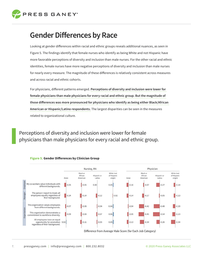

### **Gender Differences by Race**

Looking at gender differences within racial and ethnic groups reveals additional nuances, as seen in Figure 5. The findings identify that female nurses who identify as being White and not Hispanic have more favorable perceptions of diversity and inclusion than male nurses. For the other racial and ethnic identities, female nurses have more negative perceptions of diversity and inclusion than male nurses for nearly every measure. The magnitude of these differences is relatively consistent across measures and across racial and ethnic cohorts.

For physicians, different patterns emerged. **Perceptions of diversity and inclusion were lower for female physicians than male physicians for every racial and ethnic group. But the magnitude of those differences was more pronounced for physicians who identify as being either Black/African American or Hispanic/Latino respondents.** The largest disparities can be seen in the measures related to organizational culture.

Perceptions of diversity and inclusion were lower for female physicians than male physicians for every racial and ethnic group.



#### **Figure 5. Gender Differences by Clinician Group**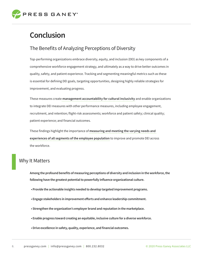

## **Conclusion**

### The Benefits of Analyzing Perceptions of Diversity

Top-performing organizations embrace diversity, equity, and inclusion (DEI) as key components of a comprehensive workforce engagement strategy, and ultimately as a way to drive better outcomes in quality, safety, and patient experience. Tracking and segmenting meaningful metrics such as these is essential for defining DEI goals, targeting opportunities, designing highly reliable strategies for improvement, and evaluating progress.

These measures create **management accountability for cultural inclusivity** and enable organizations to integrate DEI measures with other performance measures, including employee engagement, recruitment, and retention; flight-risk assessments; workforce and patient safety; clinical quality; patient experience; and financial outcomes.

These findings highlight the importance of **measuring and meeting the varying needs and experiences of all segments of the employee population** to improve and promote DEI across the workforce.

### Why It Matters

**Among the profound benefits of measuring perceptions of diversity and inclusion in the workforce, the following have the greatest potential to powerfully influence organizational culture.**

- **Provide the actionable insights needed to develop targeted improvement programs.**
- **Engage stakeholders in improvement efforts and enhance leadership commitment.**
- **Strengthen the organization's employer brand and reputation in the marketplace.**
- **Enable progress toward creating an equitable, inclusive culture for a diverse workforce.**
- **Drive excellence in safety, quality, experience, and financial outcomes.**